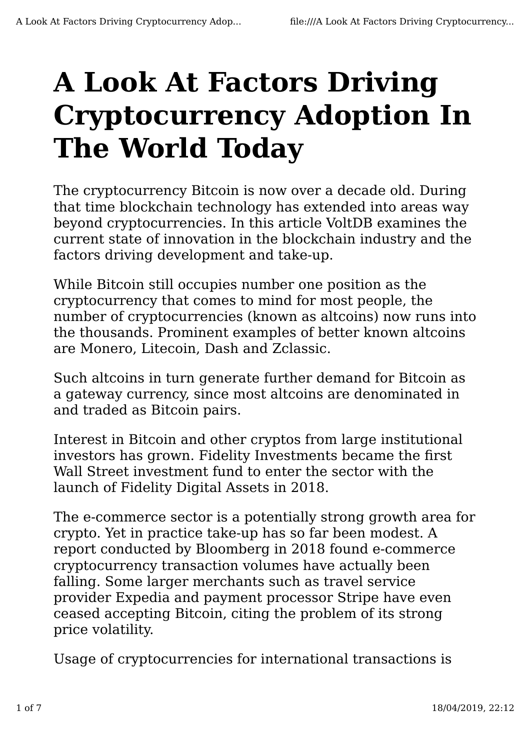## **A Look At Factors Driving Cryptocurrency Adoption In The World Today**

The cryptocurrency Bitcoin is now over a decade old. During that time blockchain technology has extended into areas way beyond cryptocurrencies. In this article VoltDB examines the current state of innovation in the blockchain industry and the factors driving development and take-up.

While Bitcoin still occupies number one position as the cryptocurrency that comes to mind for most people, the number of cryptocurrencies (known as altcoins) now runs into the thousands. Prominent examples of better known altcoins are Monero, Litecoin, Dash and Zclassic.

Such altcoins in turn generate further demand for Bitcoin as a gateway currency, since most altcoins are denominated in and traded as Bitcoin pairs.

Interest in Bitcoin and other cryptos from large institutional investors has grown. Fidelity Investments became the first Wall Street investment fund to enter the sector with the launch of Fidelity Digital Assets in 2018.

The e-commerce sector is a potentially strong growth area for crypto. Yet in practice take-up has so far been modest. A report conducted by Bloomberg in 2018 found e-commerce cryptocurrency transaction volumes have actually been falling. Some larger merchants such as travel service provider Expedia and payment processor Stripe have even ceased accepting Bitcoin, citing the problem of its strong price volatility.

Usage of cryptocurrencies for international transactions is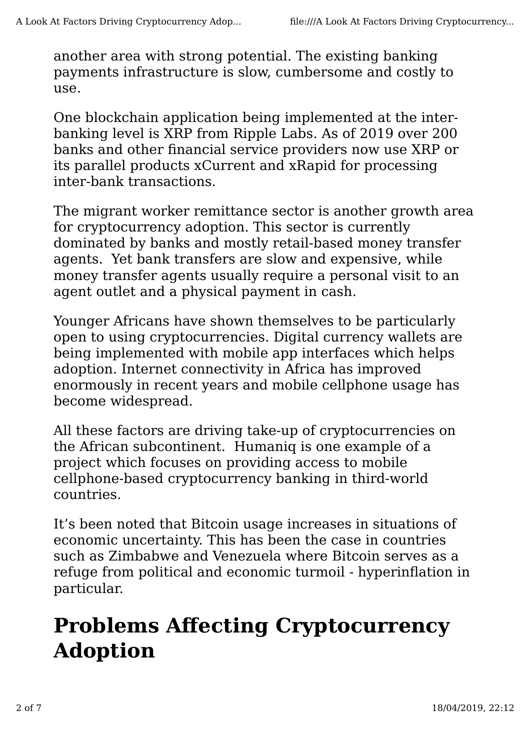another area with strong potential. The existing banking payments infrastructure is slow, cumbersome and costly to use.

One blockchain application being implemented at the interbanking level is XRP from Ripple Labs. As of 2019 over 200 banks and other financial service providers now use XRP or its parallel products xCurrent and xRapid for processing inter-bank transactions.

The migrant worker remittance sector is another growth area for cryptocurrency adoption. This sector is currently dominated by banks and mostly retail-based money transfer agents. Yet bank transfers are slow and expensive, while money transfer agents usually require a personal visit to an agent outlet and a physical payment in cash.

Younger Africans have shown themselves to be particularly open to using cryptocurrencies. Digital currency wallets are being implemented with mobile app interfaces which helps adoption. Internet connectivity in Africa has improved enormously in recent years and mobile cellphone usage has become widespread.

All these factors are driving take-up of cryptocurrencies on the African subcontinent. Humaniq is one example of a project which focuses on providing access to mobile cellphone-based cryptocurrency banking in third-world countries.

It's been noted that Bitcoin usage increases in situations of economic uncertainty. This has been the case in countries such as Zimbabwe and Venezuela where Bitcoin serves as a refuge from political and economic turmoil - hyperinflation in particular.

## **Problems Affecting Cryptocurrency Adoption**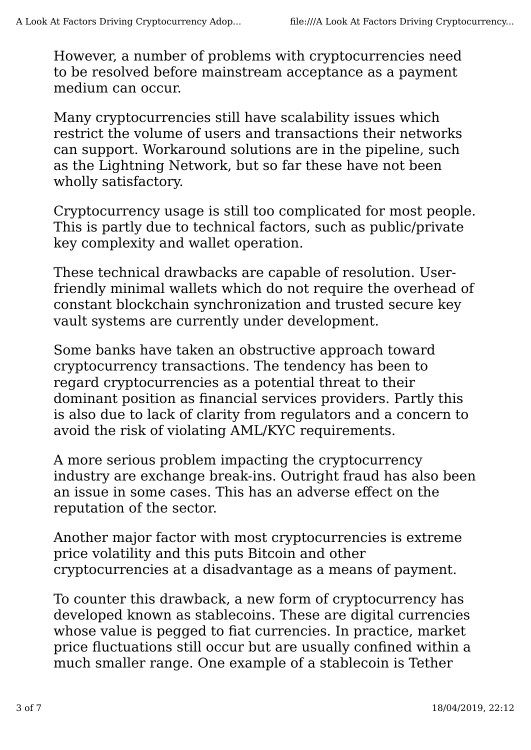However, a number of problems with cryptocurrencies need to be resolved before mainstream acceptance as a payment medium can occur.

Many cryptocurrencies still have scalability issues which restrict the volume of users and transactions their networks can support. Workaround solutions are in the pipeline, such as the Lightning Network, but so far these have not been wholly satisfactory.

Cryptocurrency usage is still too complicated for most people. This is partly due to technical factors, such as public/private key complexity and wallet operation.

These technical drawbacks are capable of resolution. Userfriendly minimal wallets which do not require the overhead of constant blockchain synchronization and trusted secure key vault systems are currently under development.

Some banks have taken an obstructive approach toward cryptocurrency transactions. The tendency has been to regard cryptocurrencies as a potential threat to their dominant position as financial services providers. Partly this is also due to lack of clarity from regulators and a concern to avoid the risk of violating AML/KYC requirements.

A more serious problem impacting the cryptocurrency industry are exchange break-ins. Outright fraud has also been an issue in some cases. This has an adverse effect on the reputation of the sector.

Another major factor with most cryptocurrencies is extreme price volatility and this puts Bitcoin and other cryptocurrencies at a disadvantage as a means of payment.

To counter this drawback, a new form of cryptocurrency has developed known as stablecoins. These are digital currencies whose value is pegged to fiat currencies. In practice, market price fluctuations still occur but are usually confined within a much smaller range. One example of a stablecoin is Tether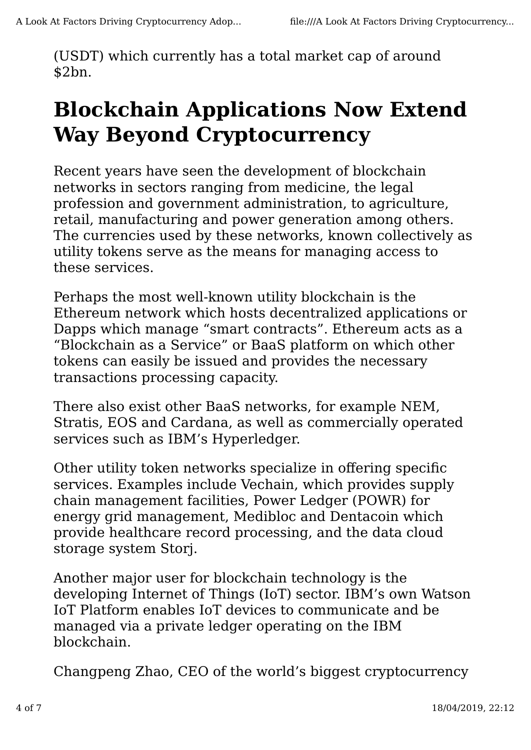(USDT) which currently has a total market cap of around \$2bn.

## **Blockchain Applications Now Extend Way Beyond Cryptocurrency**

Recent years have seen the development of blockchain networks in sectors ranging from medicine, the legal profession and government administration, to agriculture, retail, manufacturing and power generation among others. The currencies used by these networks, known collectively as utility tokens serve as the means for managing access to these services.

Perhaps the most well-known utility blockchain is the Ethereum network which hosts decentralized applications or Dapps which manage "smart contracts". Ethereum acts as a "Blockchain as a Service" or BaaS platform on which other tokens can easily be issued and provides the necessary transactions processing capacity.

There also exist other BaaS networks, for example NEM, Stratis, EOS and Cardana, as well as commercially operated services such as IBM's Hyperledger.

Other utility token networks specialize in offering specific services. Examples include Vechain, which provides supply chain management facilities, Power Ledger (POWR) for energy grid management, Medibloc and Dentacoin which provide healthcare record processing, and the data cloud storage system Storj.

Another major user for blockchain technology is the developing Internet of Things (IoT) sector. IBM's own Watson IoT Platform enables IoT devices to communicate and be managed via a private ledger operating on the IBM blockchain.

Changpeng Zhao, CEO of the world's biggest cryptocurrency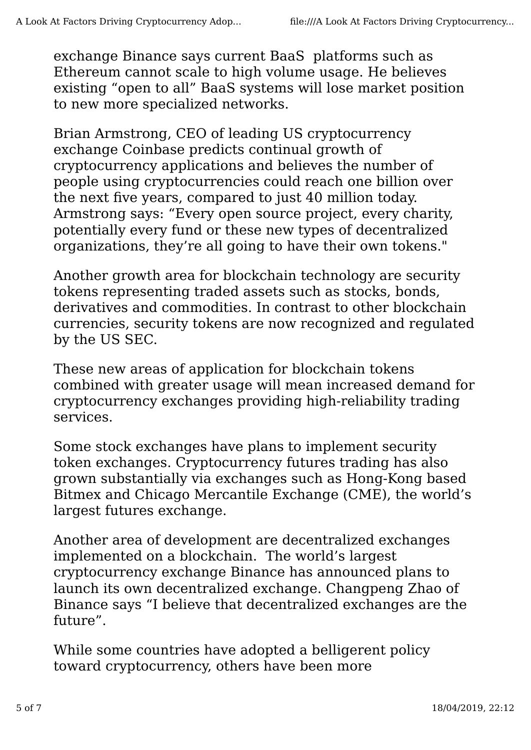exchange Binance says current BaaS platforms such as Ethereum cannot scale to high volume usage. He believes existing "open to all" BaaS systems will lose market position to new more specialized networks.

Brian Armstrong, CEO of leading US cryptocurrency exchange Coinbase predicts continual growth of cryptocurrency applications and believes the number of people using cryptocurrencies could reach one billion over the next five years, compared to just 40 million today. Armstrong says: "Every open source project, every charity, potentially every fund or these new types of decentralized organizations, they're all going to have their own tokens."

Another growth area for blockchain technology are security tokens representing traded assets such as stocks, bonds, derivatives and commodities. In contrast to other blockchain currencies, security tokens are now recognized and regulated by the US SEC.

These new areas of application for blockchain tokens combined with greater usage will mean increased demand for cryptocurrency exchanges providing high-reliability trading services.

Some stock exchanges have plans to implement security token exchanges. Cryptocurrency futures trading has also grown substantially via exchanges such as Hong-Kong based Bitmex and Chicago Mercantile Exchange (CME), the world's largest futures exchange.

Another area of development are decentralized exchanges implemented on a blockchain. The world's largest cryptocurrency exchange Binance has announced plans to launch its own decentralized exchange. Changpeng Zhao of Binance says "I believe that decentralized exchanges are the future".

While some countries have adopted a belligerent policy toward cryptocurrency, others have been more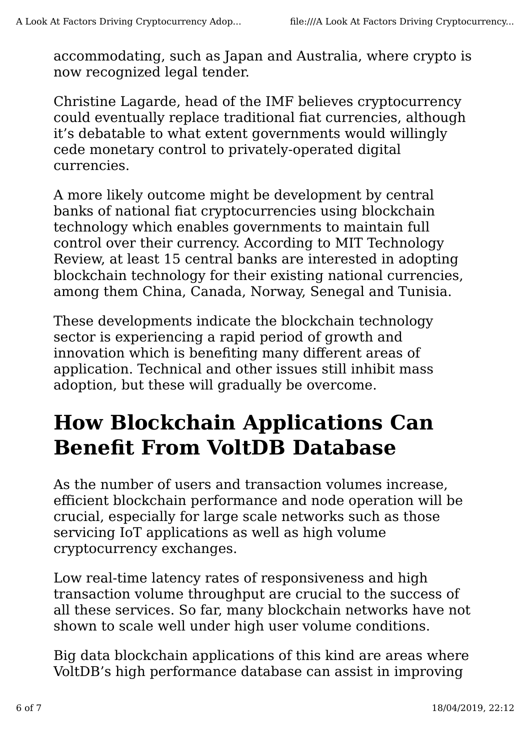accommodating, such as Japan and Australia, where crypto is now recognized legal tender.

Christine Lagarde, head of the IMF believes cryptocurrency could eventually replace traditional fiat currencies, although it's debatable to what extent governments would willingly cede monetary control to privately-operated digital currencies.

A more likely outcome might be development by central banks of national fiat cryptocurrencies using blockchain technology which enables governments to maintain full control over their currency. According to MIT Technology Review, at least 15 central banks are interested in adopting blockchain technology for their existing national currencies, among them China, Canada, Norway, Senegal and Tunisia.

These developments indicate the blockchain technology sector is experiencing a rapid period of growth and innovation which is benefiting many different areas of application. Technical and other issues still inhibit mass adoption, but these will gradually be overcome.

## **How Blockchain Applications Can Benefit From VoltDB Database**

As the number of users and transaction volumes increase, efficient blockchain performance and node operation will be crucial, especially for large scale networks such as those servicing IoT applications as well as high volume cryptocurrency exchanges.

Low real-time latency rates of responsiveness and high transaction volume throughput are crucial to the success of all these services. So far, many blockchain networks have not shown to scale well under high user volume conditions.

Big data blockchain applications of this kind are areas where VoltDB's high performance database can assist in improving